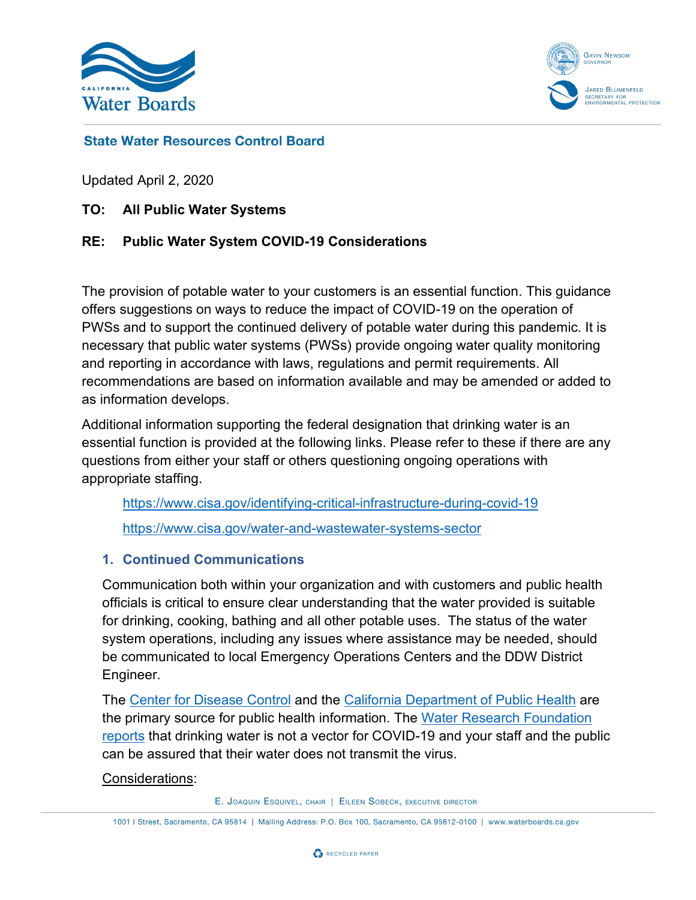



### **State Water Resources Control Board**

Updated April 2, 2020

**TO: All Public Water Systems**

### **RE: Public Water System COVID-19 Considerations**

The provision of potable water to your customers is an essential function. This guidance offers suggestions on ways to reduce the impact of COVID-19 on the operation of PWSs and to support the continued delivery of potable water during this pandemic. It is necessary that public water systems (PWSs) provide ongoing water quality monitoring and reporting in accordance with laws, regulations and permit requirements. All recommendations are based on information available and may be amended or added to as information develops.

Additional information supporting the federal designation that drinking water is an essential function is provided at the following links. Please refer to these if there are any questions from either your staff or others questioning ongoing operations with appropriate staffing.

<https://www.cisa.gov/identifying-critical-infrastructure-during-covid-19> <https://www.cisa.gov/water-and-wastewater-systems-sector>

#### **1. Continued Communications**

Communication both within your organization and with customers and public health officials is critical to ensure clear understanding that the water provided is suitable for drinking, cooking, bathing and all other potable uses. The status of the water system operations, including any issues where assistance may be needed, should be communicated to local Emergency Operations Centers and the DDW District Engineer.

The [Center for Disease Control](https://www.cdc.gov/coronavirus/2019-ncov/index.html) and the [California Department of Public Health](https://www.cdph.ca.gov/Programs/CID/DCDC/Pages/Guidance.aspx) are the primary source for public health information. The Water Research Foundation [report](https://www.waterrf.org/event/coronavirus-research-update)s that drinking water is not a vector for COVID-19 and your staff and the public can be assured that their water does not transmit the virus.

#### Considerations:

E. JOAQUIN ESQUIVEL, CHAIR | EILEEN SOBECK, EXECUTIVE DIRECTOR

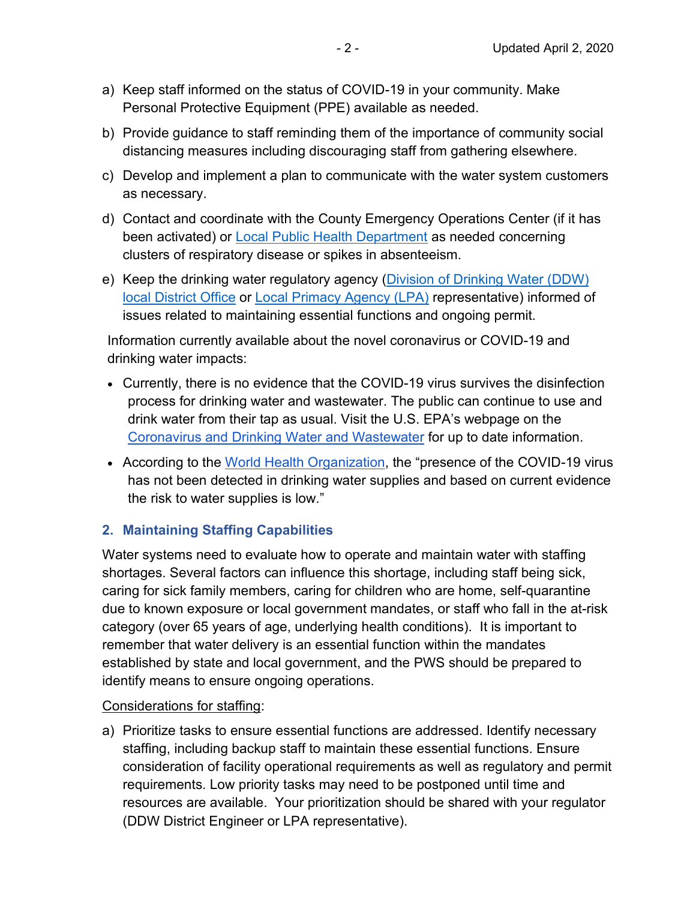- a) Keep staff informed on the status of COVID-19 in your community. Make Personal Protective Equipment (PPE) available as needed.
- b) Provide guidance to staff reminding them of the importance of community social distancing measures including discouraging staff from gathering elsewhere.
- c) Develop and implement a plan to communicate with the water system customers as necessary.
- d) Contact and coordinate with the County Emergency Operations Center (if it has been activated) or [Local Public Health Department](https://www.cdph.ca.gov/Pages/LocalHealthServicesAndOffices.aspx) as needed concerning clusters of respiratory disease or spikes in absenteeism.
- e) Keep the drinking water regulatory agency [\(Division of Drinking Water \(DDW\)](https://www.waterboards.ca.gov/drinking_water/programs/documents/ddwem/DDWdistrictofficesmap.pdf)  [local District Office](https://www.waterboards.ca.gov/drinking_water/programs/documents/ddwem/DDWdistrictofficesmap.pdf) or [Local Primacy Agency \(LPA\)](https://www.waterboards.ca.gov/drinking_water/certlic/drinkingwater/documents/rtcr/lpa_contact_info.pdf) representative) informed of issues related to maintaining essential functions and ongoing permit.

Information currently available about the novel coronavirus or COVID-19 and drinking water impacts:

- · Currently, there is no evidence that the COVID-19 virus survives the disinfection process for drinking water and wastewater. The public can continue to use and drink water from their tap as usual. Visit the U.S. EPA's webpage on the [Coronavirus and Drinking Water and Wastewater](https://www.epa.gov/coronavirus/coronavirus-and-drinking-water-and-wastewater) for up to date information.
- · According to the [World Health Organization,](https://www.who.int/publications-detail/water-sanitation-hygiene-and-waste-management-for-covid-19) the "presence of the COVID-19 virus has not been detected in drinking water supplies and based on current evidence the risk to water supplies is low."

# **2. Maintaining Staffing Capabilities**

Water systems need to evaluate how to operate and maintain water with staffing shortages. Several factors can influence this shortage, including staff being sick, caring for sick family members, caring for children who are home, self-quarantine due to known exposure or local government mandates, or staff who fall in the at-risk category (over 65 years of age, underlying health conditions). It is important to remember that water delivery is an essential function within the mandates established by state and local government, and the PWS should be prepared to identify means to ensure ongoing operations.

## Considerations for staffing:

a) Prioritize tasks to ensure essential functions are addressed. Identify necessary staffing, including backup staff to maintain these essential functions. Ensure consideration of facility operational requirements as well as regulatory and permit requirements. Low priority tasks may need to be postponed until time and resources are available. Your prioritization should be shared with your regulator (DDW District Engineer or LPA representative).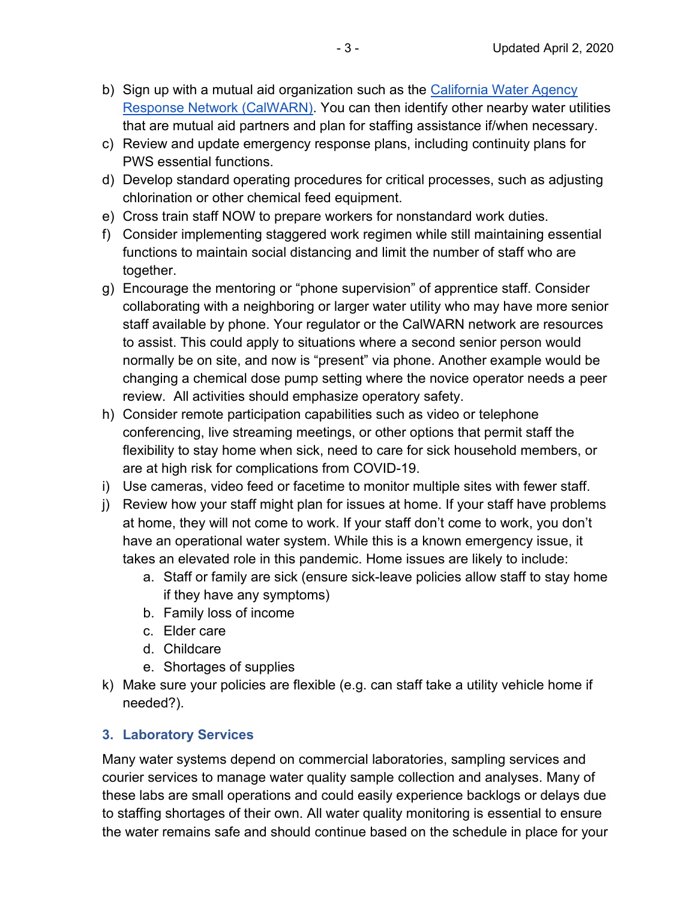- b) Sign up with a mutual aid organization such as the [California Water Agency](http://www.calwarn.org/)  [Response Network \(CalWARN\)](http://www.calwarn.org/). You can then identify other nearby water utilities that are mutual aid partners and plan for staffing assistance if/when necessary.
- c) Review and update emergency response plans, including continuity plans for PWS essential functions.
- d) Develop standard operating procedures for critical processes, such as adjusting chlorination or other chemical feed equipment.
- e) Cross train staff NOW to prepare workers for nonstandard work duties.
- f) Consider implementing staggered work regimen while still maintaining essential functions to maintain social distancing and limit the number of staff who are together.
- g) Encourage the mentoring or "phone supervision" of apprentice staff. Consider collaborating with a neighboring or larger water utility who may have more senior staff available by phone. Your regulator or the CalWARN network are resources to assist. This could apply to situations where a second senior person would normally be on site, and now is "present" via phone. Another example would be changing a chemical dose pump setting where the novice operator needs a peer review. All activities should emphasize operatory safety.
- h) Consider remote participation capabilities such as video or telephone conferencing, live streaming meetings, or other options that permit staff the flexibility to stay home when sick, need to care for sick household members, or are at high risk for complications from COVID-19.
- i) Use cameras, video feed or facetime to monitor multiple sites with fewer staff.
- j) Review how your staff might plan for issues at home. If your staff have problems at home, they will not come to work. If your staff don't come to work, you don't have an operational water system. While this is a known emergency issue, it takes an elevated role in this pandemic. Home issues are likely to include:
	- a. Staff or family are sick (ensure sick-leave policies allow staff to stay home if they have any symptoms)
	- b. Family loss of income
	- c. Elder care
	- d. Childcare
	- e. Shortages of supplies
- k) Make sure your policies are flexible (e.g. can staff take a utility vehicle home if needed?).

# **3. Laboratory Services**

Many water systems depend on commercial laboratories, sampling services and courier services to manage water quality sample collection and analyses. Many of these labs are small operations and could easily experience backlogs or delays due to staffing shortages of their own. All water quality monitoring is essential to ensure the water remains safe and should continue based on the schedule in place for your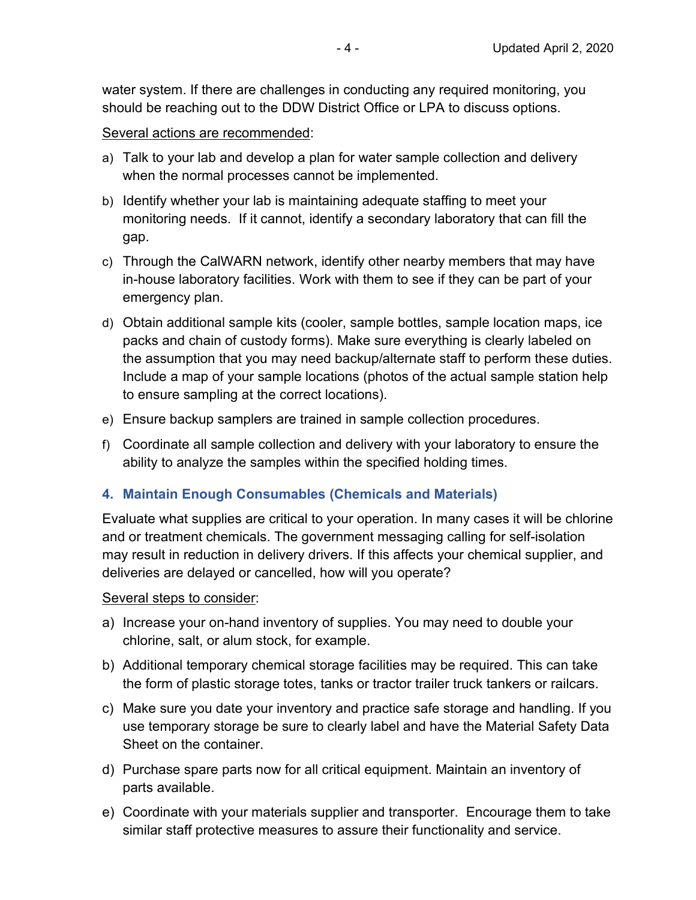water system. If there are challenges in conducting any required monitoring, you should be reaching out to the DDW District Office or LPA to discuss options.

Several actions are recommended:

- a) Talk to your lab and develop a plan for water sample collection and delivery when the normal processes cannot be implemented.
- b) Identify whether your lab is maintaining adequate staffing to meet your monitoring needs. If it cannot, identify a secondary laboratory that can fill the gap.
- c) Through the CalWARN network, identify other nearby members that may have in-house laboratory facilities. Work with them to see if they can be part of your emergency plan.
- d) Obtain additional sample kits (cooler, sample bottles, sample location maps, ice packs and chain of custody forms). Make sure everything is clearly labeled on the assumption that you may need backup/alternate staff to perform these duties. Include a map of your sample locations (photos of the actual sample station help to ensure sampling at the correct locations).
- e) Ensure backup samplers are trained in sample collection procedures.
- f) Coordinate all sample collection and delivery with your laboratory to ensure the ability to analyze the samples within the specified holding times.

## **4. Maintain Enough Consumables (Chemicals and Materials)**

Evaluate what supplies are critical to your operation. In many cases it will be chlorine and or treatment chemicals. The government messaging calling for self-isolation may result in reduction in delivery drivers. If this affects your chemical supplier, and deliveries are delayed or cancelled, how will you operate?

Several steps to consider:

- a) Increase your on-hand inventory of supplies. You may need to double your chlorine, salt, or alum stock, for example.
- b) Additional temporary chemical storage facilities may be required. This can take the form of plastic storage totes, tanks or tractor trailer truck tankers or railcars.
- c) Make sure you date your inventory and practice safe storage and handling. If you use temporary storage be sure to clearly label and have the Material Safety Data Sheet on the container.
- d) Purchase spare parts now for all critical equipment. Maintain an inventory of parts available.
- e) Coordinate with your materials supplier and transporter. Encourage them to take similar staff protective measures to assure their functionality and service.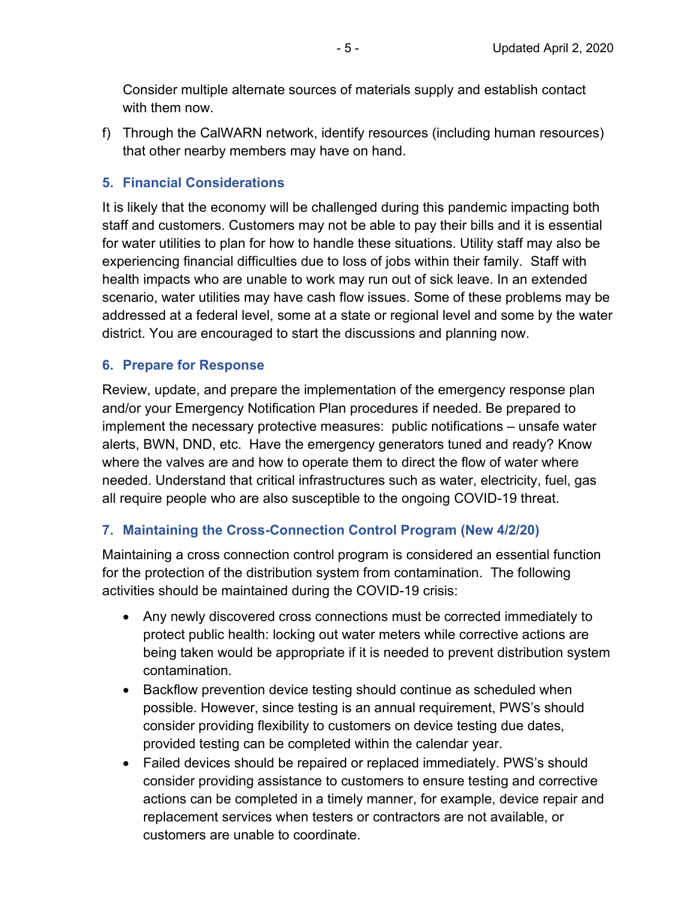Consider multiple alternate sources of materials supply and establish contact with them now.

f) Through the CalWARN network, identify resources (including human resources) that other nearby members may have on hand.

### **5. Financial Considerations**

It is likely that the economy will be challenged during this pandemic impacting both staff and customers. Customers may not be able to pay their bills and it is essential for water utilities to plan for how to handle these situations. Utility staff may also be experiencing financial difficulties due to loss of jobs within their family. Staff with health impacts who are unable to work may run out of sick leave. In an extended scenario, water utilities may have cash flow issues. Some of these problems may be addressed at a federal level, some at a state or regional level and some by the water district. You are encouraged to start the discussions and planning now.

#### **6. Prepare for Response**

Review, update, and prepare the implementation of the emergency response plan and/or your Emergency Notification Plan procedures if needed. Be prepared to implement the necessary protective measures: public notifications – unsafe water alerts, BWN, DND, etc. Have the emergency generators tuned and ready? Know where the valves are and how to operate them to direct the flow of water where needed. Understand that critical infrastructures such as water, electricity, fuel, gas all require people who are also susceptible to the ongoing COVID-19 threat.

## **7. Maintaining the Cross-Connection Control Program (New 4/2/20)**

Maintaining a cross connection control program is considered an essential function for the protection of the distribution system from contamination. The following activities should be maintained during the COVID-19 crisis:

- · Any newly discovered cross connections must be corrected immediately to protect public health: locking out water meters while corrective actions are being taken would be appropriate if it is needed to prevent distribution system contamination.
- · Backflow prevention device testing should continue as scheduled when possible. However, since testing is an annual requirement, PWS's should consider providing flexibility to customers on device testing due dates, provided testing can be completed within the calendar year.
- · Failed devices should be repaired or replaced immediately. PWS's should consider providing assistance to customers to ensure testing and corrective actions can be completed in a timely manner, for example, device repair and replacement services when testers or contractors are not available, or customers are unable to coordinate.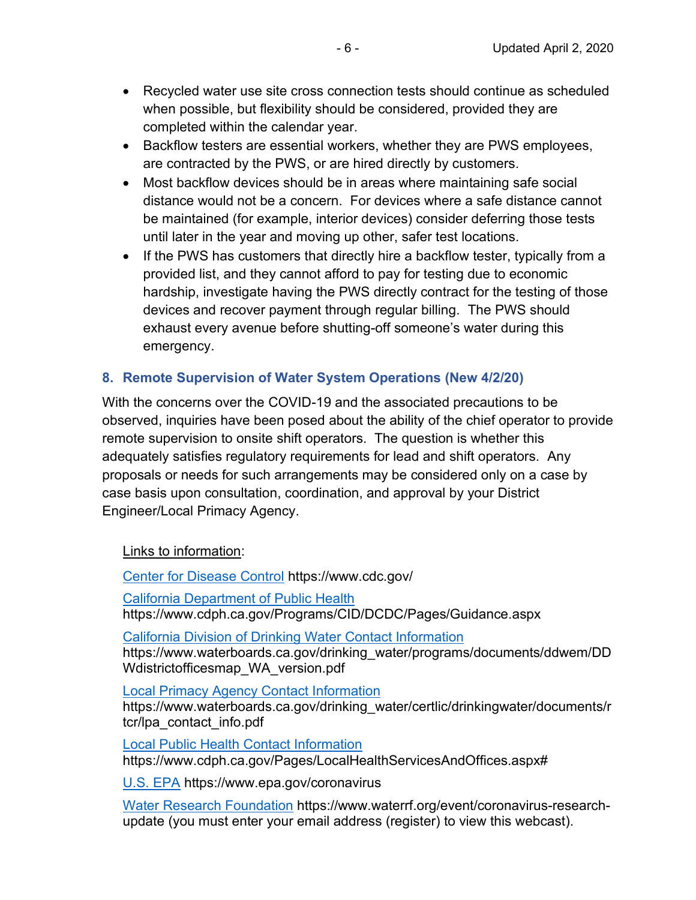- · Recycled water use site cross connection tests should continue as scheduled when possible, but flexibility should be considered, provided they are completed within the calendar year.
- · Backflow testers are essential workers, whether they are PWS employees, are contracted by the PWS, or are hired directly by customers.
- · Most backflow devices should be in areas where maintaining safe social distance would not be a concern. For devices where a safe distance cannot be maintained (for example, interior devices) consider deferring those tests until later in the year and moving up other, safer test locations.
- If the PWS has customers that directly hire a backflow tester, typically from a provided list, and they cannot afford to pay for testing due to economic hardship, investigate having the PWS directly contract for the testing of those devices and recover payment through regular billing. The PWS should exhaust every avenue before shutting-off someone's water during this emergency.

# **8. Remote Supervision of Water System Operations (New 4/2/20)**

With the concerns over the COVID-19 and the associated precautions to be observed, inquiries have been posed about the ability of the chief operator to provide remote supervision to onsite shift operators. The question is whether this adequately satisfies regulatory requirements for lead and shift operators. Any proposals or needs for such arrangements may be considered only on a case by case basis upon consultation, coordination, and approval by your District Engineer/Local Primacy Agency.

Links to information:

[Center for Disease Control](https://www.cdc.gov/) https://www.cdc.gov/ [California Department of Public Health](https://www.cdph.ca.gov/Programs/CID/DCDC/Pages/Guidance.aspx)  https://www.cdph.ca.gov/Programs/CID/DCDC/Pages/Guidance.aspx

[California Division of Drinking Water Contact Information](https://www.waterboards.ca.gov/drinking_water/programs/documents/ddwem/DDWdistrictofficesmap_WA_version.pdf) https://www.waterboards.ca.gov/drinking\_water/programs/documents/ddwem/DD Wdistrictofficesmap\_WA\_version.pdf

[Local Primacy Agency Contact Information](https://www.waterboards.ca.gov/drinking_water/certlic/drinkingwater/documents/rtcr/lpa_contact_info.pdf)  https://www.waterboards.ca.gov/drinking\_water/certlic/drinkingwater/documents/r tcr/lpa\_contact\_info.pdf

[Local Public Health Contact Information](https://www.cdph.ca.gov/Pages/LocalHealthServicesAndOffices.aspx)  https://www.cdph.ca.gov/Pages/LocalHealthServicesAndOffices.aspx#

[U.S. EPA](https://www.epa.gov/coronavirus) https://www.epa.gov/coronavirus

[Water Research Foundation](https://www.waterrf.org/event/coronavirus-research-update) https://www.waterrf.org/event/coronavirus-researchupdate (you must enter your email address (register) to view this webcast).